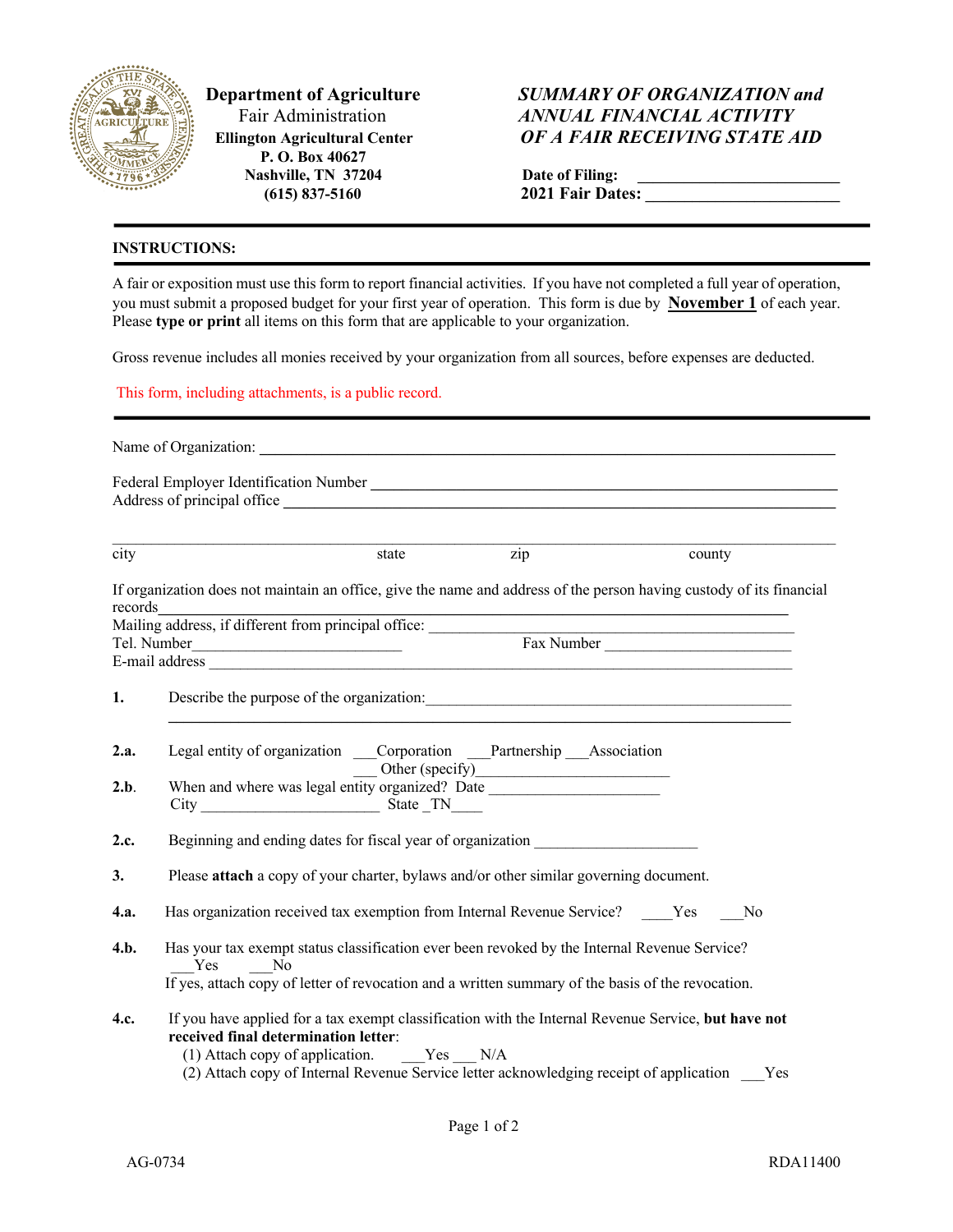

 **P. O. Box 40627 Nashville, TN 37204** 1<br> **(615)** 837-5160 2  **(615) 837-5160 2021 Fair Dates: \_\_\_\_\_\_\_\_\_\_\_\_\_\_\_\_\_\_\_\_\_\_\_\_\_**

## **Department of Agriculture** *SUMMARY OF ORGANIZATION and ANNUAL FINANCIAL ACTIVITY*<br>
GRICULTURE **Ellington Agricultural Center** *OF A FAIR RECEIVING STATE AID*

| Date of Filing:  |  |
|------------------|--|
| 2021 Fair Dates: |  |

## **INSTRUCTIONS:**

A fair or exposition must use this form to report financial activities. If you have not completed a full year of operation, you must submit a proposed budget for your first year of operation. This form is due by **November 1** of each year. Please **type or print** all items on this form that are applicable to your organization.

Gross revenue includes all monies received by your organization from all sources, before expenses are deducted.

This form, including attachments, is a public record.

| city        | state zip<br>county                                                                                                                                                                                                                                                                        |  |  |  |  |  |
|-------------|--------------------------------------------------------------------------------------------------------------------------------------------------------------------------------------------------------------------------------------------------------------------------------------------|--|--|--|--|--|
| records     | If organization does not maintain an office, give the name and address of the person having custody of its financial                                                                                                                                                                       |  |  |  |  |  |
|             | records<br>Mailing address, if different from principal office:<br>Tel. Number<br>Fax Number                                                                                                                                                                                               |  |  |  |  |  |
|             |                                                                                                                                                                                                                                                                                            |  |  |  |  |  |
|             |                                                                                                                                                                                                                                                                                            |  |  |  |  |  |
| 1.          |                                                                                                                                                                                                                                                                                            |  |  |  |  |  |
| 2.a.        | Legal entity of organization ____Corporation ____Partnership ___Association<br>When and where was legal entity organized? Date                                                                                                                                                             |  |  |  |  |  |
| 2.b.        |                                                                                                                                                                                                                                                                                            |  |  |  |  |  |
|             | $City$ State $TN$                                                                                                                                                                                                                                                                          |  |  |  |  |  |
| 2.c.        | Beginning and ending dates for fiscal year of organization _____________________                                                                                                                                                                                                           |  |  |  |  |  |
| 3.          | Please attach a copy of your charter, bylaws and/or other similar governing document.                                                                                                                                                                                                      |  |  |  |  |  |
| <b>4.a.</b> | Has organization received tax exemption from Internal Revenue Service? Yes No                                                                                                                                                                                                              |  |  |  |  |  |
| 4.b.        | Has your tax exempt status classification ever been revoked by the Internal Revenue Service?<br>Yes<br>N <sub>0</sub>                                                                                                                                                                      |  |  |  |  |  |
|             | If yes, attach copy of letter of revocation and a written summary of the basis of the revocation.                                                                                                                                                                                          |  |  |  |  |  |
| 4.c.        | If you have applied for a tax exempt classification with the Internal Revenue Service, but have not<br>received final determination letter:<br>(1) Attach copy of application.<br>$Yes$ N/A<br>(2) Attach copy of Internal Revenue Service letter acknowledging receipt of application Yes |  |  |  |  |  |